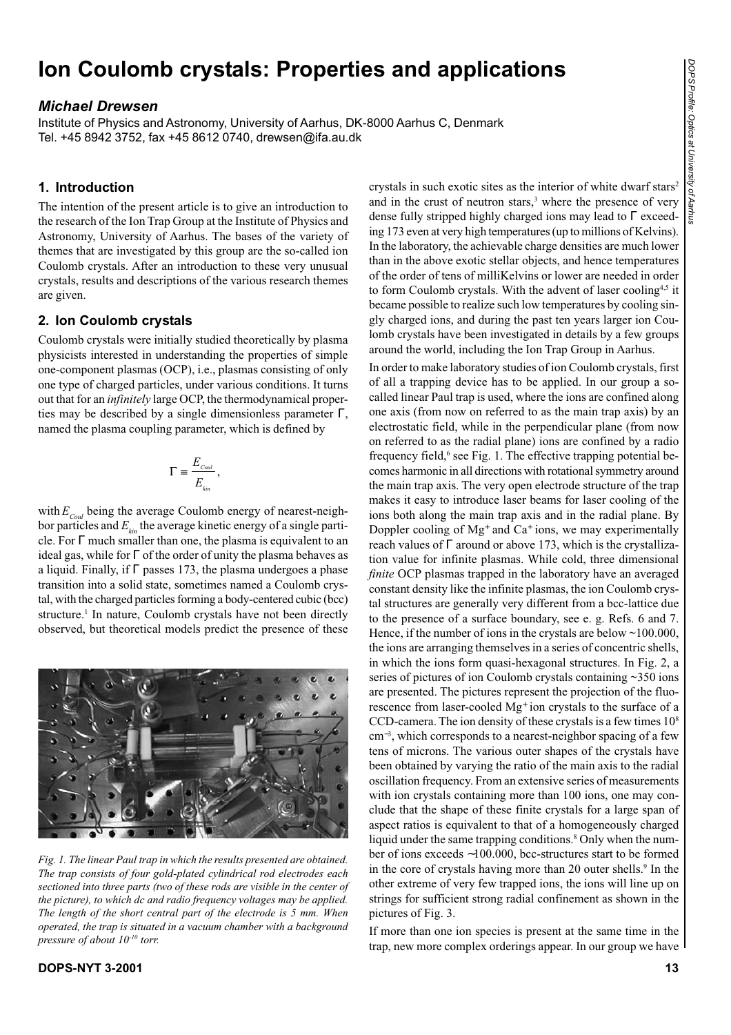# **Ion Coulomb crystals: Properties and applications**

# *Michael Drewsen*

Institute of Physics and Astronomy, University of Aarhus, DK-8000 Aarhus C, Denmark Tel. +45 8942 3752, fax +45 8612 0740, drewsen@ifa.au.dk

# **1. Introduction**

The intention of the present article is to give an introduction to the research of the Ion Trap Group at the Institute of Physics and Astronomy, University of Aarhus. The bases of the variety of themes that are investigated by this group are the so-called ion Coulomb crystals. After an introduction to these very unusual crystals, results and descriptions of the various research themes are given.

# **2. Ion Coulomb crystals**

Coulomb crystals were initially studied theoretically by plasma physicists interested in understanding the properties of simple one-component plasmas (OCP), i.e., plasmas consisting of only one type of charged particles, under various conditions. It turns out that for an *infinitely* large OCP, the thermodynamical properties may be described by a single dimensionless parameter  $\Gamma$ , named the plasma coupling parameter, which is defined by

$$
\Gamma \equiv \frac{E_{\text{Coul}}}{E_{\text{kin}}},
$$

with  $E_{Coul}$  being the average Coulomb energy of nearest-neighbor particles and  $E_{\mu i}$  the average kinetic energy of a single particle. For Γ much smaller than one, the plasma is equivalent to an ideal gas, while for  $\Gamma$  of the order of unity the plasma behaves as a liquid. Finally, if Γ passes 173, the plasma undergoes a phase transition into a solid state, sometimes named a Coulomb crystal, with the charged particles forming a body-centered cubic (bcc) structure.<sup>1</sup> In nature, Coulomb crystals have not been directly observed, but theoretical models predict the presence of these



*Fig. 1. The linear Paul trap in which the results presented are obtained. The trap consists of four gold-plated cylindrical rod electrodes each sectioned into three parts (two of these rods are visible in the center of the picture), to which dc and radio frequency voltages may be applied. The length of the short central part of the electrode is 5 mm. When operated, the trap is situated in a vacuum chamber with a background pressure of about 10-10 torr.*

crystals in such exotic sites as the interior of white dwarf stars<sup>2</sup> and in the crust of neutron stars,<sup>3</sup> where the presence of very dense fully stripped highly charged ions may lead to Γ exceeding 173 even at very high temperatures (up to millions of Kelvins). In the laboratory, the achievable charge densities are much lower than in the above exotic stellar objects, and hence temperatures of the order of tens of milliKelvins or lower are needed in order to form Coulomb crystals. With the advent of laser cooling<sup>4,5</sup> it became possible to realize such low temperatures by cooling singly charged ions, and during the past ten years larger ion Coulomb crystals have been investigated in details by a few groups around the world, including the Ion Trap Group in Aarhus.

In order to make laboratory studies of ion Coulomb crystals, first of all a trapping device has to be applied. In our group a socalled linear Paul trap is used, where the ions are confined along one axis (from now on referred to as the main trap axis) by an electrostatic field, while in the perpendicular plane (from now on referred to as the radial plane) ions are confined by a radio frequency field,<sup>6</sup> see Fig. 1. The effective trapping potential becomes harmonic in all directions with rotational symmetry around the main trap axis. The very open electrode structure of the trap makes it easy to introduce laser beams for laser cooling of the ions both along the main trap axis and in the radial plane. By Doppler cooling of Mg<sup>+</sup> and Ca<sup>+</sup> ions, we may experimentally reach values of Γ around or above 173, which is the crystallization value for infinite plasmas. While cold, three dimensional *finite* OCP plasmas trapped in the laboratory have an averaged constant density like the infinite plasmas, the ion Coulomb crystal structures are generally very different from a bcc-lattice due to the presence of a surface boundary, see e. g. Refs. 6 and 7. Hence, if the number of ions in the crystals are below  $\sim$ 100.000, the ions are arranging themselves in a series of concentric shells, in which the ions form quasi-hexagonal structures. In Fig. 2, a series of pictures of ion Coulomb crystals containing ~350 ions are presented. The pictures represent the projection of the fluorescence from laser-cooled Mg<sup>+</sup> ion crystals to the surface of a CCD-camera. The ion density of these crystals is a few times  $10<sup>8</sup>$ cm<sup>−</sup><sup>3</sup> , which corresponds to a nearest-neighbor spacing of a few tens of microns. The various outer shapes of the crystals have been obtained by varying the ratio of the main axis to the radial oscillation frequency. From an extensive series of measurements with ion crystals containing more than 100 ions, one may conclude that the shape of these finite crystals for a large span of aspect ratios is equivalent to that of a homogeneously charged liquid under the same trapping conditions.<sup>8</sup> Only when the number of ions exceeds ∼100.000, bcc-structures start to be formed in the core of crystals having more than 20 outer shells.<sup>9</sup> In the other extreme of very few trapped ions, the ions will line up on strings for sufficient strong radial confinement as shown in the pictures of Fig. 3.

If more than one ion species is present at the same time in the trap, new more complex orderings appear. In our group we have

## **DOPS-NYT 3-2001 13**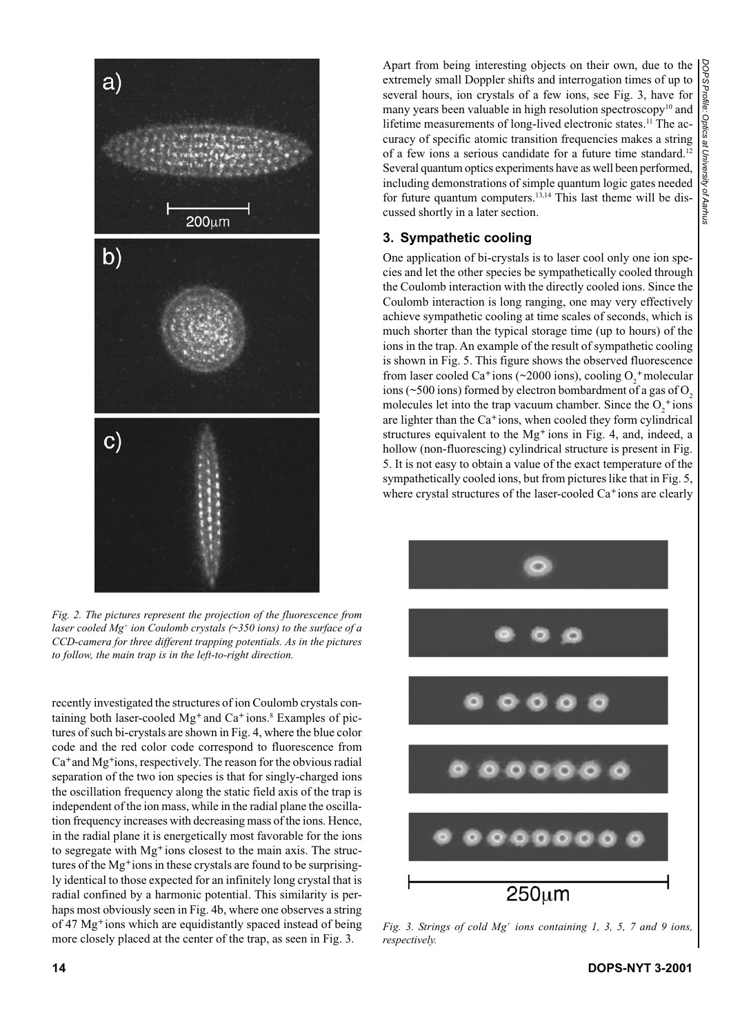

*Fig. 2. The pictures represent the projection of the fluorescence from laser cooled Mg+ ion Coulomb crystals (~350 ions) to the surface of a CCD-camera for three different trapping potentials. As in the pictures to follow, the main trap is in the left-to-right direction.*

recently investigated the structures of ion Coulomb crystals containing both laser-cooled Mg<sup>+</sup> and Ca<sup>+</sup> ions.<sup>8</sup> Examples of pictures of such bi-crystals are shown in Fig. 4, where the blue color code and the red color code correspond to fluorescence from Ca<sup>+</sup> and Mg<sup>+</sup> ions, respectively. The reason for the obvious radial separation of the two ion species is that for singly-charged ions the oscillation frequency along the static field axis of the trap is independent of the ion mass, while in the radial plane the oscillation frequency increases with decreasing mass of the ions. Hence, in the radial plane it is energetically most favorable for the ions to segregate with Mg<sup>+</sup> ions closest to the main axis. The structures of the Mg<sup>+</sup> ions in these crystals are found to be surprisingly identical to those expected for an infinitely long crystal that is radial confined by a harmonic potential. This similarity is perhaps most obviously seen in Fig. 4b, where one observes a string of 47 Mg<sup>+</sup> ions which are equidistantly spaced instead of being more closely placed at the center of the trap, as seen in Fig. 3.

Apart from being interesting objects on their own, due to the extremely small Doppler shifts and interrogation times of up to several hours, ion crystals of a few ions, see Fig. 3, have for many years been valuable in high resolution spectroscopy $10$  and lifetime measurements of long-lived electronic states.<sup>11</sup> The accuracy of specific atomic transition frequencies makes a string of a few ions a serious candidate for a future time standard.12 Several quantum optics experiments have as well been performed, including demonstrations of simple quantum logic gates needed for future quantum computers.13,14 This last theme will be discussed shortly in a later section.

# **3. Sympathetic cooling**

One application of bi-crystals is to laser cool only one ion species and let the other species be sympathetically cooled through the Coulomb interaction with the directly cooled ions. Since the Coulomb interaction is long ranging, one may very effectively achieve sympathetic cooling at time scales of seconds, which is much shorter than the typical storage time (up to hours) of the ions in the trap. An example of the result of sympathetic cooling is shown in Fig. 5. This figure shows the observed fluorescence from laser cooled Ca<sup>+</sup> ions (~2000 ions), cooling  $O_2^+$  molecular ions ( $\sim$ 500 ions) formed by electron bombardment of a gas of O<sub>2</sub> molecules let into the trap vacuum chamber. Since the  $O_2^+$  ions are lighter than the Ca<sup>+</sup> ions, when cooled they form cylindrical structures equivalent to the Mg<sup>+</sup> ions in Fig. 4, and, indeed, a hollow (non-fluorescing) cylindrical structure is present in Fig. 5. It is not easy to obtain a value of the exact temperature of the sympathetically cooled ions, but from pictures like that in Fig. 5, where crystal structures of the laser-cooled Ca<sup>+</sup> ions are clearly



*Fig. 3. Strings of cold Mg+ ions containing 1, 3, 5, 7 and 9 ions, respectively.*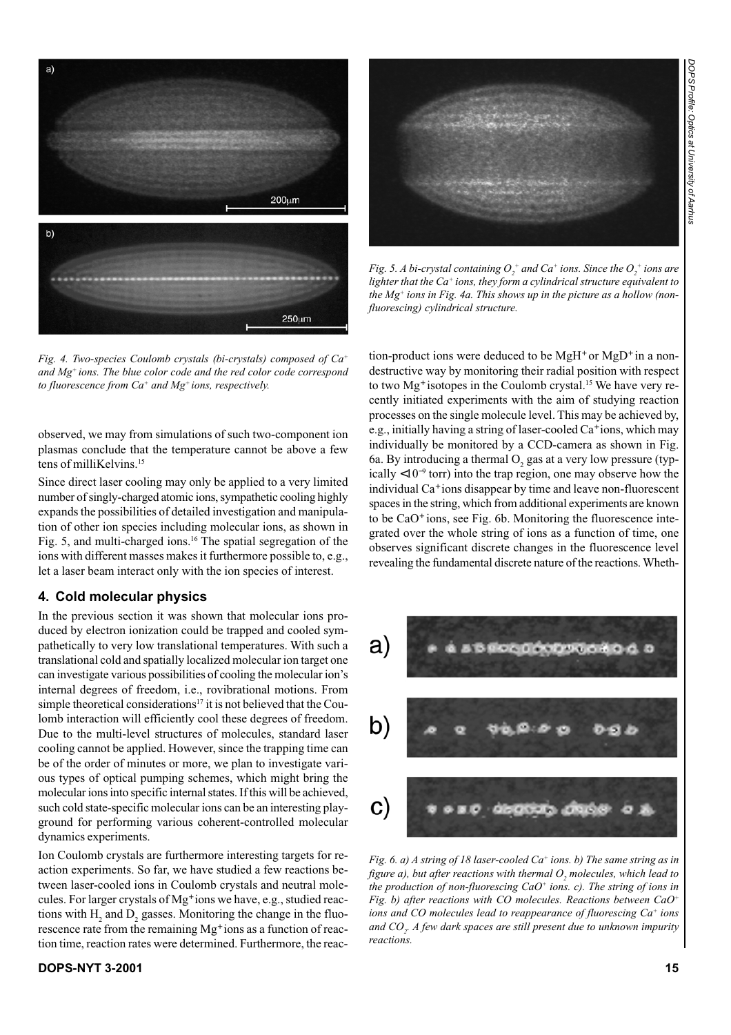

*Fig. 4. Two-species Coulomb crystals (bi-crystals) composed of Ca+ and Mg+ ions. The blue color code and the red color code correspond to fluorescence from Ca+ and Mg+ ions, respectively.*

observed, we may from simulations of such two-component ion plasmas conclude that the temperature cannot be above a few tens of milliKelvins.<sup>15</sup>

Since direct laser cooling may only be applied to a very limited number of singly-charged atomic ions, sympathetic cooling highly expands the possibilities of detailed investigation and manipulation of other ion species including molecular ions, as shown in Fig. 5, and multi-charged ions.<sup>16</sup> The spatial segregation of the ions with different masses makes it furthermore possible to, e.g., let a laser beam interact only with the ion species of interest.

#### **4. Cold molecular physics**

In the previous section it was shown that molecular ions produced by electron ionization could be trapped and cooled sympathetically to very low translational temperatures. With such a translational cold and spatially localized molecular ion target one can investigate various possibilities of cooling the molecular ion's internal degrees of freedom, i.e., rovibrational motions. From simple theoretical considerations<sup>17</sup> it is not believed that the Coulomb interaction will efficiently cool these degrees of freedom. Due to the multi-level structures of molecules, standard laser cooling cannot be applied. However, since the trapping time can be of the order of minutes or more, we plan to investigate various types of optical pumping schemes, which might bring the molecular ions into specific internal states. If this will be achieved, such cold state-specific molecular ions can be an interesting playground for performing various coherent-controlled molecular dynamics experiments.

Ion Coulomb crystals are furthermore interesting targets for reaction experiments. So far, we have studied a few reactions between laser-cooled ions in Coulomb crystals and neutral molecules. For larger crystals of Mg<sup>+</sup> ions we have, e.g., studied reactions with  $H_2$  and  $D_2$  gasses. Monitoring the change in the fluorescence rate from the remaining Mg<sup>+</sup> ions as a function of reaction time, reaction rates were determined. Furthermore, the reac-



Fig. 5. A bi-crystal containing  $O^{+}_{2}$  and  $Ca^{+}$  ions. Since the  $O^{+}_{2}$  ions are *lighter that the Ca+ ions, they form a cylindrical structure equivalent to the Mg+ ions in Fig. 4a. This shows up in the picture as a hollow (nonfluorescing) cylindrical structure.*

tion-product ions were deduced to be  $MgH^+$  or  $MgD^+$  in a nondestructive way by monitoring their radial position with respect to two Mg<sup>+</sup> isotopes in the Coulomb crystal.<sup>15</sup> We have very recently initiated experiments with the aim of studying reaction processes on the single molecule level. This may be achieved by, e.g., initially having a string of laser-cooled Ca<sup>+</sup> ions, which may individually be monitored by a CCD-camera as shown in Fig. 6a. By introducing a thermal  $O_2$  gas at a very low pressure (typically <10<sup>−</sup><sup>9</sup> torr) into the trap region, one may observe how the individual Ca<sup>+</sup> ions disappear by time and leave non-fluorescent spaces in the string, which from additional experiments are known to be CaO<sup>+</sup> ions, see Fig. 6b. Monitoring the fluorescence integrated over the whole string of ions as a function of time, one observes significant discrete changes in the fluorescence level revealing the fundamental discrete nature of the reactions. Wheth-



*Fig. 6. a) A string of 18 laser-cooled Ca<sup>+</sup> ions. b) The same string as in figure a), but after reactions with thermal*  $O_{_2}$  *molecules, which lead to the production of non-fluorescing CaO+ ions. c). The string of ions in Fig. b) after reactions with CO molecules. Reactions between CaO+ ions and CO molecules lead to reappearance of fluorescing Ca+ ions and CO2 . A few dark spaces are still present due to unknown impurity reactions.*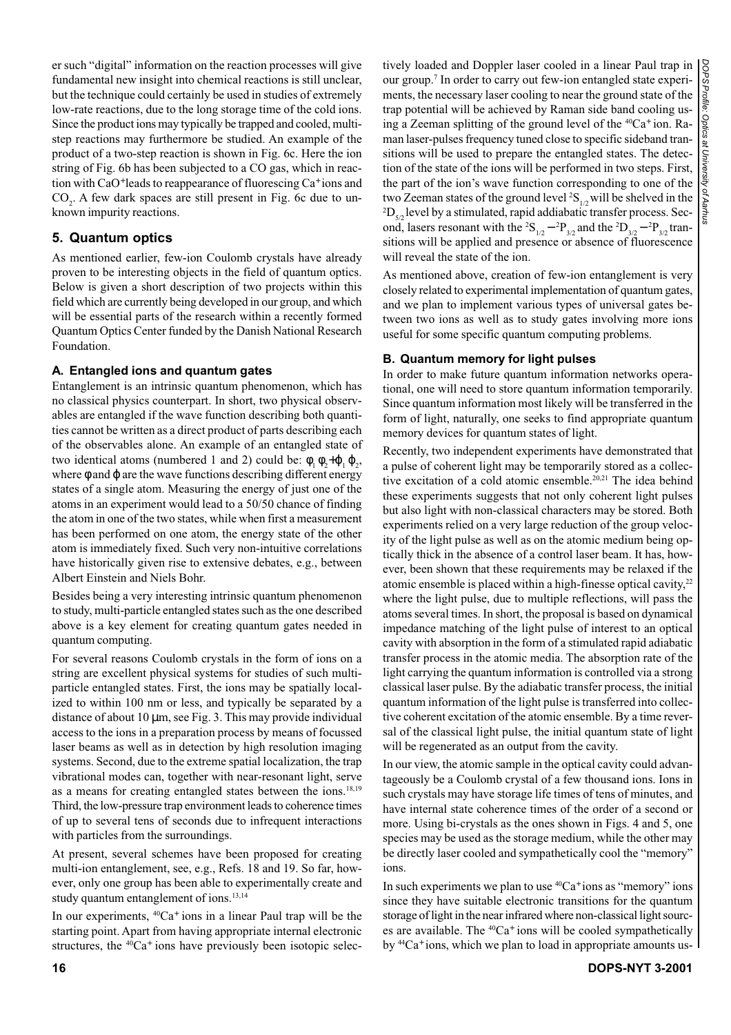er such "digital" information on the reaction processes will give fundamental new insight into chemical reactions is still unclear, but the technique could certainly be used in studies of extremely low-rate reactions, due to the long storage time of the cold ions. Since the product ions may typically be trapped and cooled, multistep reactions may furthermore be studied. An example of the product of a two-step reaction is shown in Fig. 6c. Here the ion string of Fig. 6b has been subjected to a CO gas, which in reaction with CaO<sup>+</sup> leads to reappearance of fluorescing Ca<sup>+</sup> ions and  $CO<sub>2</sub>$ . A few dark spaces are still present in Fig. 6c due to unknown impurity reactions.

## **5. Quantum optics**

As mentioned earlier, few-ion Coulomb crystals have already proven to be interesting objects in the field of quantum optics. Below is given a short description of two projects within this field which are currently being developed in our group, and which will be essential parts of the research within a recently formed Quantum Optics Center funded by the Danish National Research Foundation.

## **A. Entangled ions and quantum gates**

Entanglement is an intrinsic quantum phenomenon, which has no classical physics counterpart. In short, two physical observables are entangled if the wave function describing both quantities cannot be written as a direct product of parts describing each of the observables alone. An example of an entangled state of two identical atoms (numbered 1 and 2) could be:  $\phi_1 \phi_2 + \phi_1 \phi_2$ , where  $\phi$  and  $\phi$  are the wave functions describing different energy states of a single atom. Measuring the energy of just one of the atoms in an experiment would lead to a 50/50 chance of finding the atom in one of the two states, while when first a measurement has been performed on one atom, the energy state of the other atom is immediately fixed. Such very non-intuitive correlations have historically given rise to extensive debates, e.g., between Albert Einstein and Niels Bohr.

Besides being a very interesting intrinsic quantum phenomenon to study, multi-particle entangled states such as the one described above is a key element for creating quantum gates needed in quantum computing.

For several reasons Coulomb crystals in the form of ions on a string are excellent physical systems for studies of such multiparticle entangled states. First, the ions may be spatially localized to within 100 nm or less, and typically be separated by a distance of about 10 µm, see Fig. 3. This may provide individual access to the ions in a preparation process by means of focussed laser beams as well as in detection by high resolution imaging systems. Second, due to the extreme spatial localization, the trap vibrational modes can, together with near-resonant light, serve as a means for creating entangled states between the ions.18,19 Third, the low-pressure trap environment leads to coherence times of up to several tens of seconds due to infrequent interactions with particles from the surroundings.

At present, several schemes have been proposed for creating multi-ion entanglement, see, e.g., Refs. 18 and 19. So far, however, only one group has been able to experimentally create and study quantum entanglement of ions.<sup>13,14</sup>

In our experiments,  ${}^{40}Ca^+$  ions in a linear Paul trap will be the starting point. Apart from having appropriate internal electronic structures, the  ${}^{40}Ca^+$  ions have previously been isotopic selectively loaded and Doppler laser cooled in a linear Paul trap in our group.7 In order to carry out few-ion entangled state experiments, the necessary laser cooling to near the ground state of the trap potential will be achieved by Raman side band cooling using a Zeeman splitting of the ground level of the <sup>40</sup>Ca<sup>+</sup> ion. Raman laser-pulses frequency tuned close to specific sideband transitions will be used to prepare the entangled states. The detection of the state of the ions will be performed in two steps. First, the part of the ion's wave function corresponding to one of the two Zeeman states of the ground level  ${}^{2}S_{1/2}$  will be shelved in the  ${}^{2}D$  level by a stimulated rapid addiabatic transfer process. Sec  ${}^{2}D_{5/2}$  level by a stimulated, rapid addiabatic transfer process. Second, lasers resonant with the <sup>2</sup>S<sub>1/2</sub> – <sup>2</sup>P<sub>3/2</sub> and the <sup>2</sup>D<sub>3/2</sub> – <sup>2</sup>P<sub>3/2</sub> transitions will be applied and presence or absence of fluorescence will reveal the state of the ion.

As mentioned above, creation of few-ion entanglement is very closely related to experimental implementation of quantum gates, and we plan to implement various types of universal gates between two ions as well as to study gates involving more ions useful for some specific quantum computing problems.

#### **B. Quantum memory for light pulses**

In order to make future quantum information networks operational, one will need to store quantum information temporarily. Since quantum information most likely will be transferred in the form of light, naturally, one seeks to find appropriate quantum memory devices for quantum states of light.

Recently, two independent experiments have demonstrated that a pulse of coherent light may be temporarily stored as a collective excitation of a cold atomic ensemble.<sup>20,21</sup> The idea behind these experiments suggests that not only coherent light pulses but also light with non-classical characters may be stored. Both experiments relied on a very large reduction of the group velocity of the light pulse as well as on the atomic medium being optically thick in the absence of a control laser beam. It has, however, been shown that these requirements may be relaxed if the atomic ensemble is placed within a high-finesse optical cavity,<sup>22</sup> where the light pulse, due to multiple reflections, will pass the atoms several times. In short, the proposal is based on dynamical impedance matching of the light pulse of interest to an optical cavity with absorption in the form of a stimulated rapid adiabatic transfer process in the atomic media. The absorption rate of the light carrying the quantum information is controlled via a strong classical laser pulse. By the adiabatic transfer process, the initial quantum information of the light pulse is transferred into collective coherent excitation of the atomic ensemble. By a time reversal of the classical light pulse, the initial quantum state of light will be regenerated as an output from the cavity.

In our view, the atomic sample in the optical cavity could advantageously be a Coulomb crystal of a few thousand ions. Ions in such crystals may have storage life times of tens of minutes, and have internal state coherence times of the order of a second or more. Using bi-crystals as the ones shown in Figs. 4 and 5, one species may be used as the storage medium, while the other may be directly laser cooled and sympathetically cool the "memory" ions.

In such experiments we plan to use  ${}^{40}Ca^+$  ions as "memory" ions since they have suitable electronic transitions for the quantum storage of light in the near infrared where non-classical light sources are available. The  ${}^{40}Ca<sup>+</sup>$  ions will be cooled sympathetically by <sup>44</sup>Ca<sup>+</sup> ions, which we plan to load in appropriate amounts us